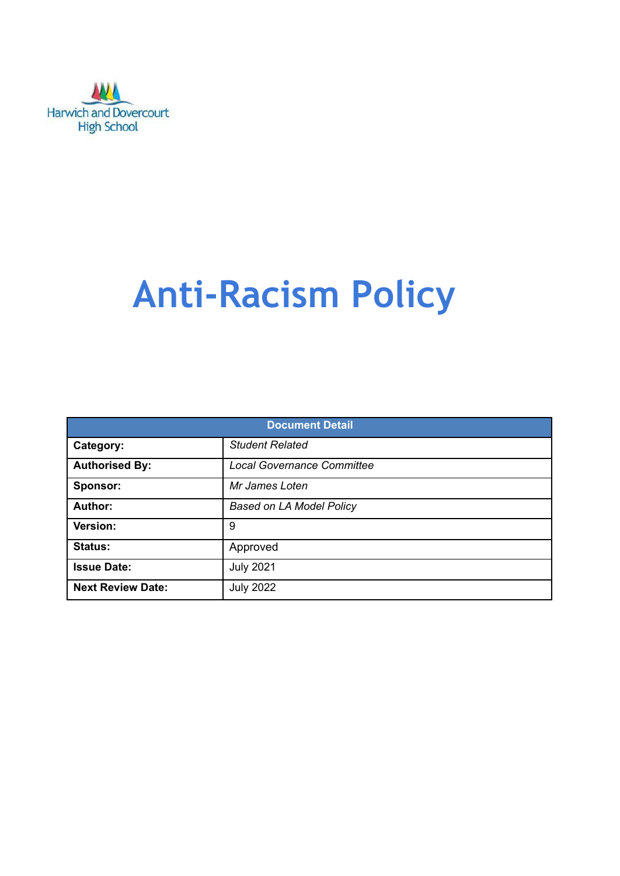

# **Anti-Racism Policy**

| <b>Document Detail</b>   |                                   |  |  |  |
|--------------------------|-----------------------------------|--|--|--|
| Category:                | <b>Student Related</b>            |  |  |  |
| <b>Authorised By:</b>    | <b>Local Governance Committee</b> |  |  |  |
| Sponsor:                 | Mr James Loten                    |  |  |  |
| Author:                  | <b>Based on LA Model Policy</b>   |  |  |  |
| Version:                 | 9                                 |  |  |  |
| <b>Status:</b>           | Approved                          |  |  |  |
| <b>Issue Date:</b>       | <b>July 2021</b>                  |  |  |  |
| <b>Next Review Date:</b> | <b>July 2022</b>                  |  |  |  |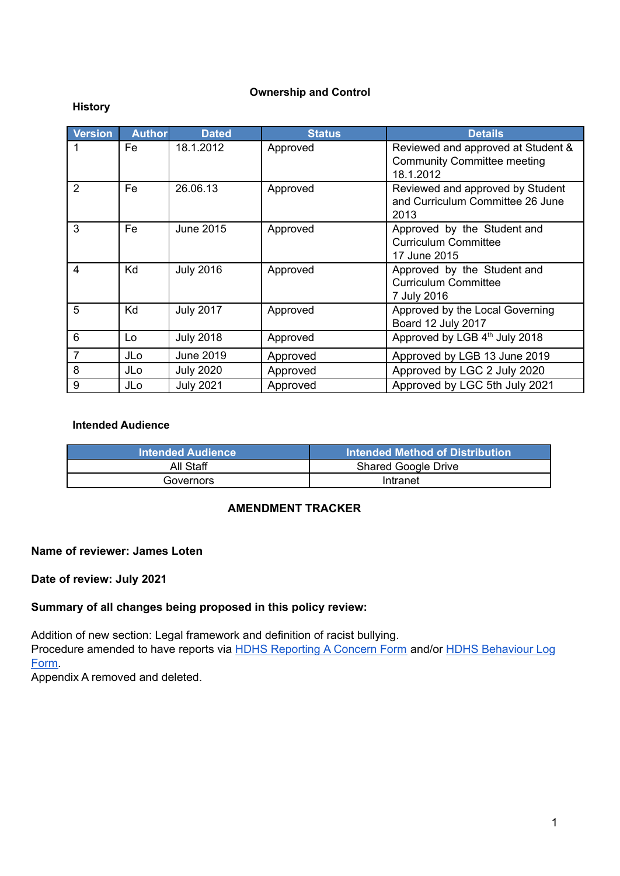#### **Ownership and Control**

#### **History**

| Version        | <b>Author</b> | <b>Dated</b>     | <b>Status</b> | <b>Details</b>                                                                        |
|----------------|---------------|------------------|---------------|---------------------------------------------------------------------------------------|
|                | Fe            | 18.1.2012        | Approved      | Reviewed and approved at Student &<br><b>Community Committee meeting</b><br>18.1.2012 |
| $\overline{2}$ | Fe            | 26.06.13         | Approved      | Reviewed and approved by Student<br>and Curriculum Committee 26 June<br>2013          |
| 3              | Fe            | June 2015        | Approved      | Approved by the Student and<br><b>Curriculum Committee</b><br>17 June 2015            |
| $\overline{4}$ | Kd            | <b>July 2016</b> | Approved      | Approved by the Student and<br><b>Curriculum Committee</b><br>7 July 2016             |
| 5              | Kd            | <b>July 2017</b> | Approved      | Approved by the Local Governing<br>Board 12 July 2017                                 |
| 6              | Lo            | <b>July 2018</b> | Approved      | Approved by LGB 4th July 2018                                                         |
| $\overline{7}$ | JLo           | <b>June 2019</b> | Approved      | Approved by LGB 13 June 2019                                                          |
| 8              | JLo           | <b>July 2020</b> | Approved      | Approved by LGC 2 July 2020                                                           |
| 9              | JLo           | <b>July 2021</b> | Approved      | Approved by LGC 5th July 2021                                                         |

#### **Intended Audience**

| <b>Intended Audience</b> | Intended Method of Distribution |
|--------------------------|---------------------------------|
| All Staff                | <b>Shared Google Drive</b>      |
| Governors                | Intranet                        |

## **AMENDMENT TRACKER**

#### **Name of reviewer: James Loten**

#### **Date of review: July 2021**

#### **Summary of all changes being proposed in this policy review:**

Addition of new section: Legal framework and definition of racist bullying. Procedure amended to have reports via HDHS [Reporting](https://docs.google.com/forms/d/e/1FAIpQLSfi0jQ9UU3A1utjps6z7V2YsoKetGKLgR8NEhSChUWV-5I5ng/viewform) A Concern Form and/or HDHS [Behaviour](https://docs.google.com/forms/d/e/1FAIpQLScK1QEsNiDix1NasjtxO26aCFGiqjxCZ4QZwFn9-LXELBW8rA/viewform) Log [Form.](https://docs.google.com/forms/d/e/1FAIpQLScK1QEsNiDix1NasjtxO26aCFGiqjxCZ4QZwFn9-LXELBW8rA/viewform)

Appendix A removed and deleted.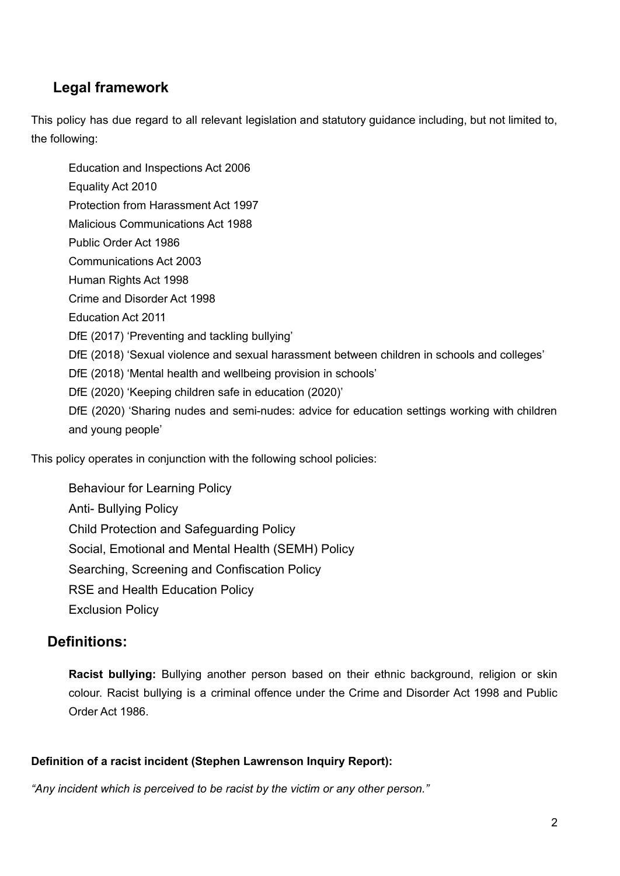# **Legal framework**

This policy has due regard to all relevant legislation and statutory guidance including, but not limited to, the following:

Education and Inspections Act 2006 Equality Act 2010 Protection from Harassment Act 1997 Malicious Communications Act 1988 Public Order Act 1986 Communications Act 2003 Human Rights Act 1998 Crime and Disorder Act 1998 Education Act 2011 DfE (2017) 'Preventing and tackling bullying' DfE (2018) 'Sexual violence and sexual harassment between children in schools and colleges' DfE (2018) 'Mental health and wellbeing provision in schools' DfE (2020) 'Keeping children safe in education (2020)' DfE (2020) 'Sharing nudes and semi-nudes: advice for education settings working with children and young people'

This policy operates in conjunction with the following school policies:

Behaviour for Learning Policy Anti- Bullying Policy Child Protection and Safeguarding Policy Social, Emotional and Mental Health (SEMH) Policy Searching, Screening and Confiscation Policy RSE and Health Education Policy Exclusion Policy

# **Definitions:**

**Racist bullying:** Bullying another person based on their ethnic background, religion or skin colour. Racist bullying is a criminal offence under the Crime and Disorder Act 1998 and Public Order Act 1986.

### **Definition of a racist incident (Stephen Lawrenson Inquiry Report):**

*"Any incident which is perceived to be racist by the victim or any other person."*